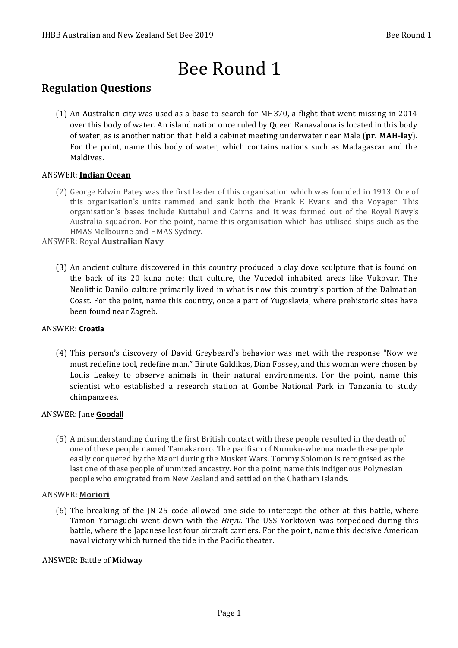# Bee Round 1

## **Regulation Questions**

(1) An Australian city was used as a base to search for MH370, a flight that went missing in 2014 over this body of water. An island nation once ruled by Queen Ranavalona is located in this body of water, as is another nation that held a cabinet meeting underwater near Male (pr. MAH-lay). For the point, name this body of water, which contains nations such as Madagascar and the Maldives. 

## ANSWER: **Indian Ocean**

(2) George Edwin Patey was the first leader of this organisation which was founded in 1913. One of this organisation's units rammed and sank both the Frank E Evans and the Voyager. This organisation's bases include Kuttabul and Cairns and it was formed out of the Royal Navy's Australia squadron. For the point, name this organisation which has utilised ships such as the HMAS Melbourne and HMAS Sydney.

#### **ANSWER: Royal Australian Navy**

(3) An ancient culture discovered in this country produced a clay dove sculpture that is found on the back of its 20 kuna note; that culture, the Vucedol inhabited areas like Vukovar. The Neolithic Danilo culture primarily lived in what is now this country's portion of the Dalmatian Coast. For the point, name this country, once a part of Yugoslavia, where prehistoric sites have been found near Zagreb.

#### ANSWER: **Croatia**

(4) This person's discovery of David Greybeard's behavior was met with the response "Now we must redefine tool, redefine man." Birute Galdikas, Dian Fossey, and this woman were chosen by Louis Leakey to observe animals in their natural environments. For the point, name this scientist who established a research station at Gombe National Park in Tanzania to study chimpanzees.

#### ANSWER: Jane **Goodall**

(5) A misunderstanding during the first British contact with these people resulted in the death of one of these people named Tamakaroro. The pacifism of Nunuku-whenua made these people easily conquered by the Maori during the Musket Wars. Tommy Solomon is recognised as the last one of these people of unmixed ancestry. For the point, name this indigenous Polynesian people who emigrated from New Zealand and settled on the Chatham Islands.

#### ANSWER: **Moriori**

(6) The breaking of the JN-25 code allowed one side to intercept the other at this battle, where Tamon Yamaguchi went down with the *Hiryu*. The USS Yorktown was torpedoed during this battle, where the Japanese lost four aircraft carriers. For the point, name this decisive American naval victory which turned the tide in the Pacific theater.

#### ANSWER: Battle of **Midway**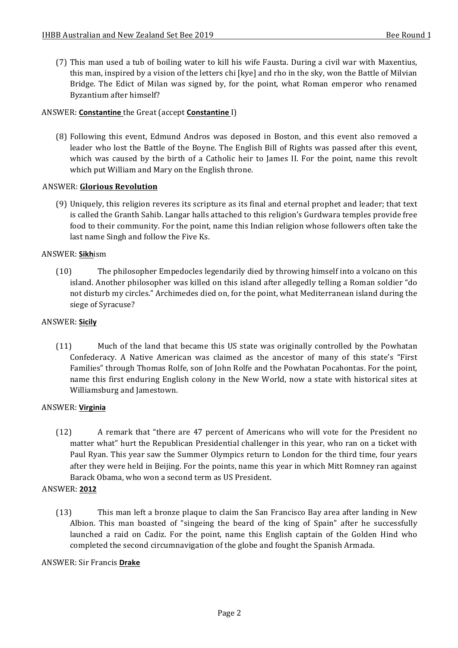(7) This man used a tub of boiling water to kill his wife Fausta. During a civil war with Maxentius, this man, inspired by a vision of the letters chi [kye] and rho in the sky, won the Battle of Milvian Bridge. The Edict of Milan was signed by, for the point, what Roman emperor who renamed Byzantium after himself?

## ANSWER: **Constantine** the Great (accept **Constantine** I)

(8) Following this event, Edmund Andros was deposed in Boston, and this event also removed a leader who lost the Battle of the Boyne. The English Bill of Rights was passed after this event, which was caused by the birth of a Catholic heir to James II. For the point, name this revolt which put William and Mary on the English throne.

## ANSWER: **Glorious Revolution**

(9) Uniquely, this religion reveres its scripture as its final and eternal prophet and leader; that text is called the Granth Sahib. Langar halls attached to this religion's Gurdwara temples provide free food to their community. For the point, name this Indian religion whose followers often take the last name Singh and follow the Five Ks.

## ANSWER: **Sikh**ism

(10) The philosopher Empedocles legendarily died by throwing himself into a volcano on this island. Another philosopher was killed on this island after allegedly telling a Roman soldier "do not disturb my circles." Archimedes died on, for the point, what Mediterranean island during the siege of Syracuse?

### ANSWER: **Sicily**

(11) Much of the land that became this US state was originally controlled by the Powhatan Confederacy. A Native American was claimed as the ancestor of many of this state's "First Families" through Thomas Rolfe, son of John Rolfe and the Powhatan Pocahontas. For the point, name this first enduring English colony in the New World, now a state with historical sites at Williamsburg and Jamestown.

#### ANSWER: **Virginia**

(12) A remark that "there are 47 percent of Americans who will vote for the President no matter what" hurt the Republican Presidential challenger in this year, who ran on a ticket with Paul Ryan. This year saw the Summer Olympics return to London for the third time, four years after they were held in Beijing. For the points, name this year in which Mitt Romney ran against Barack Obama, who won a second term as US President.

#### ANSWER: **2012**

(13) This man left a bronze plaque to claim the San Francisco Bay area after landing in New Albion. This man boasted of "singeing the beard of the king of Spain" after he successfully launched a raid on Cadiz. For the point, name this English captain of the Golden Hind who completed the second circumnavigation of the globe and fought the Spanish Armada.

#### ANSWER: Sir Francis **Drake**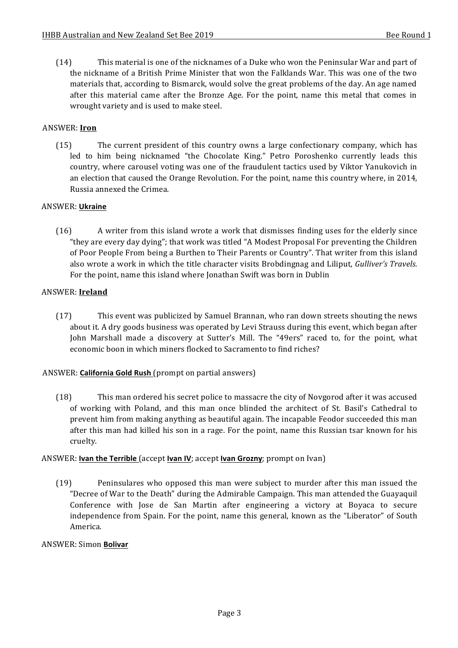(14) This material is one of the nicknames of a Duke who won the Peninsular War and part of the nickname of a British Prime Minister that won the Falklands War. This was one of the two materials that, according to Bismarck, would solve the great problems of the day. An age named after this material came after the Bronze Age. For the point, name this metal that comes in wrought variety and is used to make steel.

## ANSWER: **Iron**

(15) The current president of this country owns a large confectionary company, which has led to him being nicknamed "the Chocolate King." Petro Poroshenko currently leads this country, where carousel voting was one of the fraudulent tactics used by Viktor Yanukovich in an election that caused the Orange Revolution. For the point, name this country where, in 2014, Russia annexed the Crimea.

## ANSWER: **Ukraine**

(16) A writer from this island wrote a work that dismisses finding uses for the elderly since "they are every day dying"; that work was titled "A Modest Proposal For preventing the Children of Poor People From being a Burthen to Their Parents or Country". That writer from this island also wrote a work in which the title character visits Brobdingnag and Liliput, *Gulliver's Travels*. For the point, name this island where Jonathan Swift was born in Dublin

## ANSWER: **Ireland**

(17) This event was publicized by Samuel Brannan, who ran down streets shouting the news about it. A dry goods business was operated by Levi Strauss during this event, which began after John Marshall made a discovery at Sutter's Mill. The "49ers" raced to, for the point, what economic boon in which miners flocked to Sacramento to find riches?

## ANSWER: **California Gold Rush** (prompt on partial answers)

(18) This man ordered his secret police to massacre the city of Novgorod after it was accused of working with Poland, and this man once blinded the architect of St. Basil's Cathedral to prevent him from making anything as beautiful again. The incapable Feodor succeeded this man after this man had killed his son in a rage. For the point, name this Russian tsar known for his cruelty.

## ANSWER: **Ivan the Terrible** (accept **Ivan IV**; accept **Ivan Grozny**; prompt on Ivan)

(19) Peninsulares who opposed this man were subject to murder after this man issued the "Decree of War to the Death" during the Admirable Campaign. This man attended the Guayaquil Conference with Jose de San Martin after engineering a victory at Boyaca to secure independence from Spain. For the point, name this general, known as the "Liberator" of South America.

#### ANSWER: Simon **Bolivar**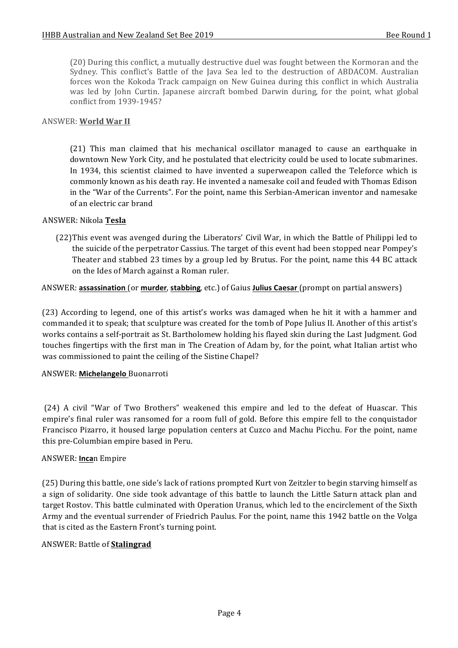(20) During this conflict, a mutually destructive duel was fought between the Kormoran and the Sydney. This conflict's Battle of the Java Sea led to the destruction of ABDACOM. Australian forces won the Kokoda Track campaign on New Guinea during this conflict in which Australia was led by John Curtin. Japanese aircraft bombed Darwin during, for the point, what global conflict from 1939-1945?

## **ANSWER: World War II**

(21) This man claimed that his mechanical oscillator managed to cause an earthquake in downtown New York City, and he postulated that electricity could be used to locate submarines. In 1934, this scientist claimed to have invented a superweapon called the Teleforce which is commonly known as his death ray. He invented a namesake coil and feuded with Thomas Edison in the "War of the Currents". For the point, name this Serbian-American inventor and namesake of an electric car brand

## ANSWER: Nikola **Tesla**

(22)This event was avenged during the Liberators' Civil War, in which the Battle of Philippi led to the suicide of the perpetrator Cassius. The target of this event had been stopped near Pompey's Theater and stabbed 23 times by a group led by Brutus. For the point, name this 44 BC attack on the Ides of March against a Roman ruler.

## ANSWER: **assassination** (or **murder**, **stabbing**, etc.) of Gaius **Julius Caesar** (prompt on partial answers)

(23) According to legend, one of this artist's works was damaged when he hit it with a hammer and commanded it to speak; that sculpture was created for the tomb of Pope Julius II. Another of this artist's works contains a self-portrait as St. Bartholomew holding his flayed skin during the Last Judgment. God touches fingertips with the first man in The Creation of Adam by, for the point, what Italian artist who was commissioned to paint the ceiling of the Sistine Chapel?

#### ANSWER: **Michelangelo** Buonarroti

(24) A civil "War of Two Brothers" weakened this empire and led to the defeat of Huascar. This empire's final ruler was ransomed for a room full of gold. Before this empire fell to the conquistador Francisco Pizarro, it housed large population centers at Cuzco and Machu Picchu. For the point, name this pre-Columbian empire based in Peru.

### ANSWER: **Inca**n Empire

(25) During this battle, one side's lack of rations prompted Kurt von Zeitzler to begin starving himself as a sign of solidarity. One side took advantage of this battle to launch the Little Saturn attack plan and target Rostov. This battle culminated with Operation Uranus, which led to the encirclement of the Sixth Army and the eventual surrender of Friedrich Paulus. For the point, name this 1942 battle on the Volga that is cited as the Eastern Front's turning point.

## ANSWER: Battle of **Stalingrad**